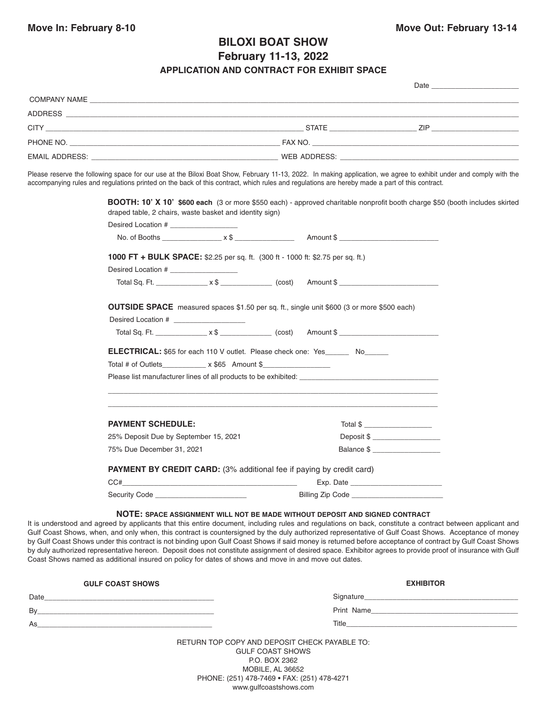## **BILOXI BOAT SHOW**

**February 11-13, 2022**

## **APPLICATION AND CONTRACT FOR EXHIBIT SPACE**

|                                                                                                                | Date                      |  |
|----------------------------------------------------------------------------------------------------------------|---------------------------|--|
|                                                                                                                |                           |  |
|                                                                                                                |                           |  |
|                                                                                                                | STATE ZIP                 |  |
|                                                                                                                |                           |  |
| EMAIL ADDRESS: WARD AND THE CONTROL CONTROL CONTROL CONTROL CONTROL CONTROL CONTROL CONTROL CONTROL CONTROL CO | WEB ADDRESS: WEB ADDRESS: |  |
|                                                                                                                |                           |  |

Please reserve the following space for our use at the Biloxi Boat Show, February 11-13, 2022. In making application, we agree to exhibit under and comply with the accompanying rules and regulations printed on the back of this contract, which rules and regulations are hereby made a part of this contract.

| Desired Location # ___________________ |                                                                                                  |
|----------------------------------------|--------------------------------------------------------------------------------------------------|
|                                        |                                                                                                  |
|                                        | <b>1000 FT + BULK SPACE:</b> \$2.25 per sq. ft. (300 ft - 1000 ft: \$2.75 per sq. ft.)           |
| Desired Location # ___________________ |                                                                                                  |
|                                        | Total Sq. Ft. $\begin{array}{ccc}\nx & 0 & x & c \nx & 0 & x & c\nx\end{array}$ (cost) Amount \$ |
|                                        | OUTSIDE SPACE measured spaces \$1.50 per sq. ft., single unit \$600 (3 or more \$500 each)       |
| Desired Location #                     |                                                                                                  |
|                                        |                                                                                                  |
|                                        | <b>ELECTRICAL:</b> \$65 for each 110 V outlet. Please check one: Yes No                          |
| Total # of Outlets $x $65$ Amount \$   |                                                                                                  |
|                                        | Please list manufacturer lines of all products to be exhibited:<br>exhibited:                    |
| <b>PAYMENT SCHEDULE:</b>               | Total \$                                                                                         |
| 25% Deposit Due by September 15, 2021  | Deposit \$ ___________________                                                                   |
| 75% Due December 31, 2021              | Balance \$                                                                                       |
|                                        | <b>PAYMENT BY CREDIT CARD:</b> (3% additional fee if paying by credit card)                      |
|                                        |                                                                                                  |
|                                        |                                                                                                  |

It is understood and agreed by applicants that this entire document, including rules and regulations on back, constitute a contract between applicant and Gulf Coast Shows, when, and only when, this contract is countersigned by the duly authorized representative of Gulf Coast Shows. Acceptance of money by Gulf Coast Shows under this contract is not binding upon Gulf Coast Shows if said money is returned before acceptance of contract by Gulf Coast Shows by duly authorized representative hereon. Deposit does not constitute assignment of desired space. Exhibitor agrees to provide proof of insurance with Gulf Coast Shows named as additional insured on policy for dates of shows and move in and move out dates.

| <b>GULF COAST SHOWS</b>                                                                                                     | <b>EXHIBITOR</b>                                                                                                                                                                                                                       |
|-----------------------------------------------------------------------------------------------------------------------------|----------------------------------------------------------------------------------------------------------------------------------------------------------------------------------------------------------------------------------------|
| Date                                                                                                                        |                                                                                                                                                                                                                                        |
| Bv<br><u> 1989 - Johann John Stone, markin sammen beskriuwer oan de ferskeinder oan de ferskeinde oan de ferskeinde fer</u> |                                                                                                                                                                                                                                        |
| As                                                                                                                          | Title<br>the control of the control of the control of the control of the control of the control of the control of the control of the control of the control of the control of the control of the control of the control of the control |
|                                                                                                                             | RETURN TOP COPY AND DEPOSIT CHECK PAYABLE TO:                                                                                                                                                                                          |

GULF COAST SHOWS P.O. BOX 2362 MOBILE, AL 36652 PHONE: (251) 478-7469 • FAX: (251) 478-4271 www.gulfcoastshows.com